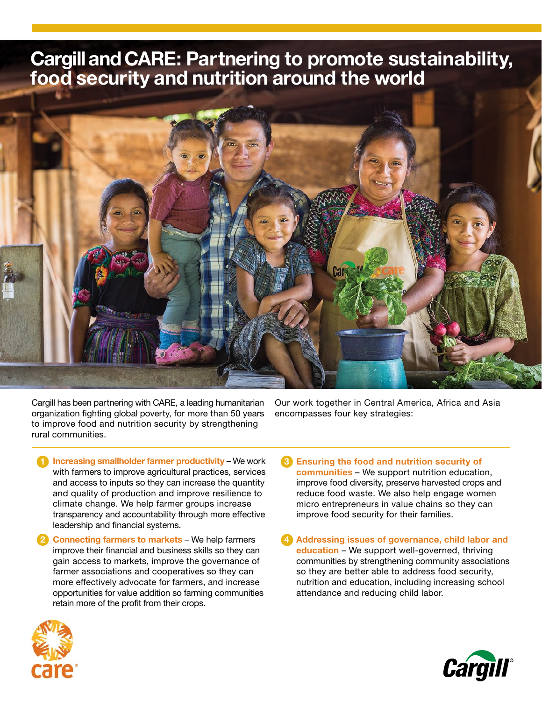# Cargill and CARE: Partnering to promote sustainability, food security and nutrition around the world



Cargill has been partnering with CARE, a leading humanitarian organization fighting global poverty, for more than 50 years to improve food and nutrition security by strengthening rural communities.

Our work together in Central America, Africa and Asia encompasses four key strategies:

- 1 Increasing smallholder farmer productivity We work 6 with farmers to improve agricultural practices, services and access to inputs so they can increase the quantity and quality of production and improve resilience to climate change. We help farmer groups increase transparency and accountability through more effective leadership and financial systems.
- 2 Connecting farmers to markets We help farmers (4) improve their financial and business skills so they can gain access to markets, improve the governance of farmer associations and cooperatives so they can more effectively advocate for farmers, and increase opportunities for value addition so farming communities retain more of the profit from their crops.
- **B** Ensuring the food and nutrition security of communities – We support nutrition education, improve food diversity, preserve harvested crops and reduce food waste. We also help engage women micro entrepreneurs in value chains so they can improve food security for their families.
- Addressing issues of governance, child labor and education - We support well-governed, thriving communities by strengthening community associations so they are better able to address food security, nutrition and education, including increasing school attendance and reducing child labor.